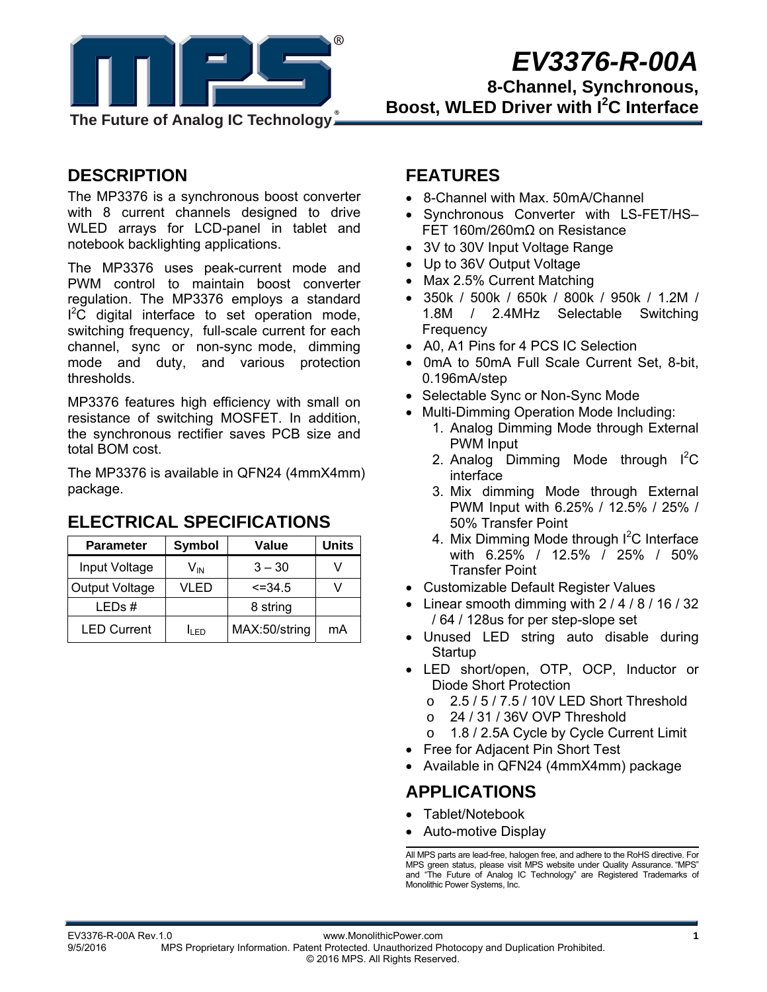

# *EV3376-R-00A*

**8-Channel, Synchronous, Boost, WLED Driver with I<sup>2</sup>C Interface** 

#### **DESCRIPTION**

The MP3376 is a synchronous boost converter with 8 current channels designed to drive WLED arrays for LCD-panel in tablet and notebook backlighting applications.

The MP3376 uses peak-current mode and PWM control to maintain boost converter regulation. The MP3376 employs a standard  $I^2\overline{C}$  digital interface to set operation mode, switching frequency, full-scale current for each channel, sync or non-sync mode, dimming mode and duty, and various protection thresholds.

MP3376 features high efficiency with small on resistance of switching MOSFET. In addition, the synchronous rectifier saves PCB size and total BOM cost.

The MP3376 is available in QFN24 (4mmX4mm) package.

### Parameter Symbol Value Units Input Voltage  $\vert$  V<sub>IN</sub>  $\vert$  3 – 30  $\vert$  V Output Voltage | VLED | <=34.5 | V LEDs # | 8 string

LED Current  $\parallel$  I<sub>LED</sub> | MAX:50/string | mA

#### **ELECTRICAL SPECIFICATIONS**

#### **FEATURES**

- 8-Channel with Max. 50mA/Channel
- Synchronous Converter with LS-FET/HS– FET 160m/260mΩ on Resistance
- 3V to 30V Input Voltage Range
- Up to 36V Output Voltage
- Max 2.5% Current Matching
- 350k / 500k / 650k / 800k / 950k / 1.2M / 1.8M / 2.4MHz Selectable Switching Frequency
- A0, A1 Pins for 4 PCS IC Selection
- 0mA to 50mA Full Scale Current Set, 8-bit, 0.196mA/step
- Selectable Sync or Non-Sync Mode
- Multi-Dimming Operation Mode Including:
	- 1. Analog Dimming Mode through External PWM Input
	- 2. Analog Dimming Mode through  $I^2C$ interface
	- 3. Mix dimming Mode through External PWM Input with 6.25% / 12.5% / 25% / 50% Transfer Point
	- 4. Mix Dimming Mode through I<sup>2</sup>C Interface with 6.25% / 12.5% / 25% / 50% Transfer Point
- Customizable Default Register Values
- Linear smooth dimming with  $2/4/8/16/32$ / 64 / 128us for per step-slope set
- Unused LED string auto disable during **Startup**
- LED short/open, OTP, OCP, Inductor or Diode Short Protection
	- o 2.5 / 5 / 7.5 / 10V LED Short Threshold
	- o 24 / 31 / 36V OVP Threshold
	- o 1.8 / 2.5A Cycle by Cycle Current Limit
- Free for Adjacent Pin Short Test
- Available in QFN24 (4mmX4mm) package

### **APPLICATIONS**

- Tablet/Notebook
- Auto-motive Display

All MPS parts are lead-free, halogen free, and adhere to the RoHS directive. For MPS green status, please visit MPS website under Quality Assurance. "MPS" and "The Future of Analog IC Technology" are Registered Trademarks of Monolithic Power Systems, Inc.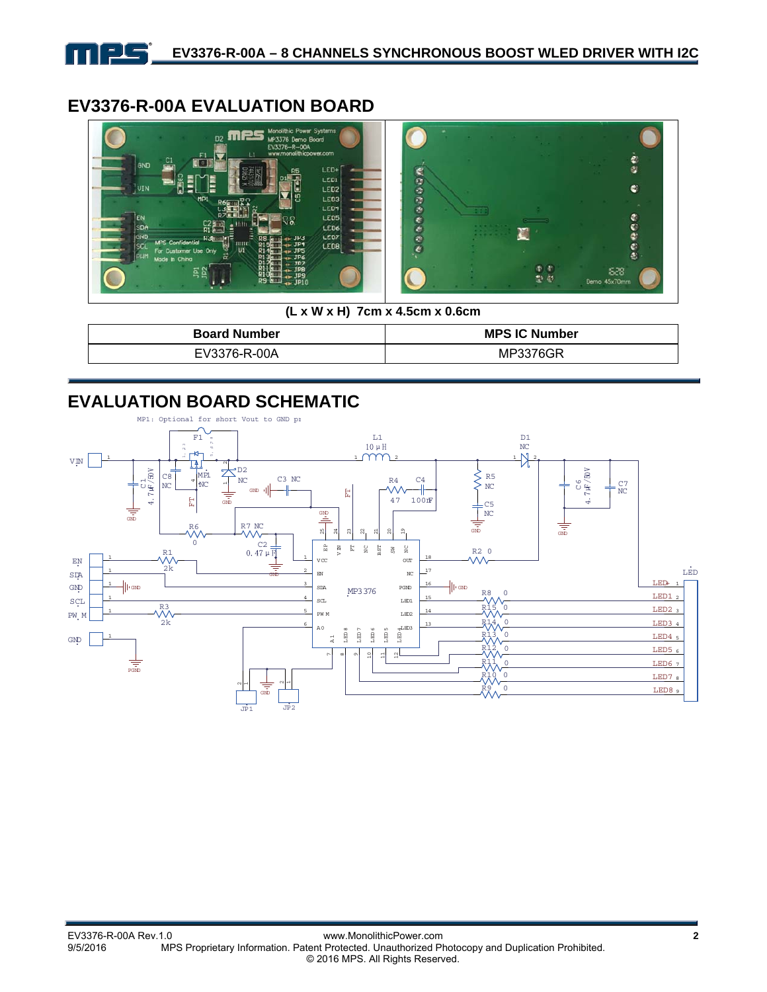

### **EV3376-R-00A EVALUATION BOARD**



**(L x W x H) 7cm x 4.5cm x 0.6cm** 

| <b>Board Number</b> | <b>MPS IC Number</b> |  |  |
|---------------------|----------------------|--|--|
| EV3376-R-00A        | MP3376GR             |  |  |

### **EVALUATION BOARD SCHEMATIC**

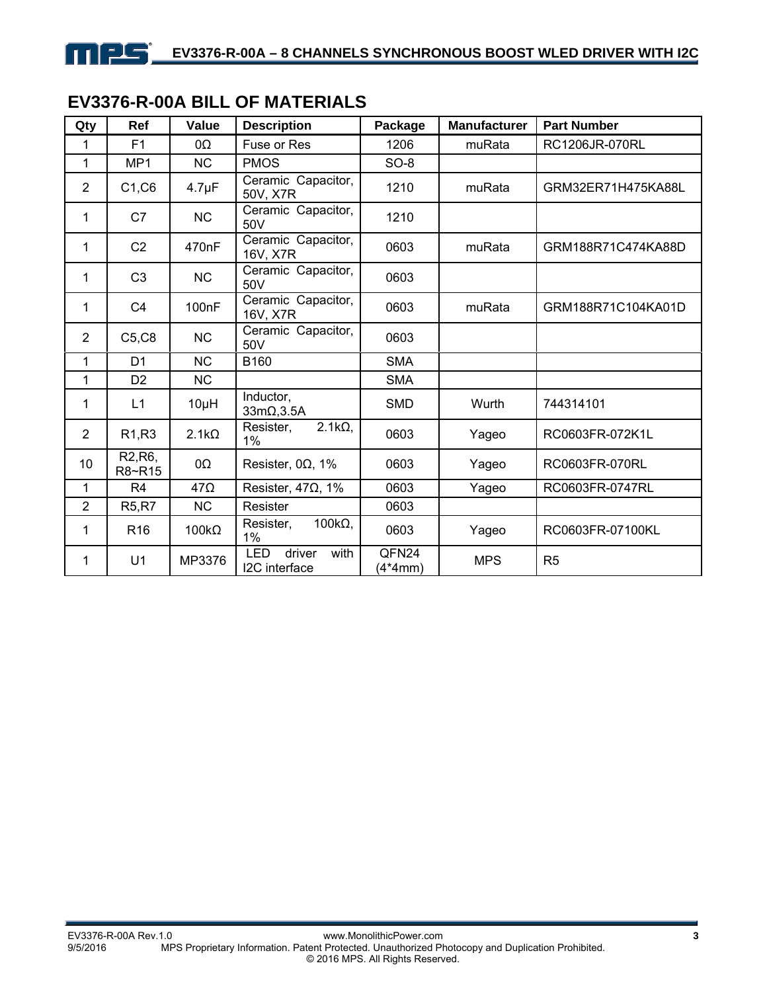### **EV3376-R-00A BILL OF MATERIALS**

| Qty            | Ref                                         | Value              | <b>Description</b>                            | Package          | <b>Manufacturer</b> | <b>Part Number</b> |
|----------------|---------------------------------------------|--------------------|-----------------------------------------------|------------------|---------------------|--------------------|
| 1              | F <sub>1</sub>                              | 0Ω                 | Fuse or Res                                   | 1206             | muRata              | RC1206JR-070RL     |
| 1              | MP <sub>1</sub>                             | <b>NC</b>          | <b>PMOS</b>                                   | $SO-8$           |                     |                    |
| $\overline{2}$ | C1, C6                                      | $4.7 \mu F$        | Ceramic Capacitor,<br>50V, X7R                | 1210             | muRata              | GRM32ER71H475KA88L |
| 1              | C7                                          | <b>NC</b>          | Ceramic Capacitor,<br>50V                     | 1210             |                     |                    |
| 1              | C <sub>2</sub>                              | 470 <sub>n</sub> F | Ceramic Capacitor,<br>16V, X7R                | 0603             | muRata              | GRM188R71C474KA88D |
| 1              | C <sub>3</sub>                              | <b>NC</b>          | Ceramic Capacitor,<br>50V                     | 0603             |                     |                    |
| 1              | C <sub>4</sub>                              | 100 <sub>n</sub> F | Ceramic Capacitor,<br>16V, X7R                | 0603             | muRata              | GRM188R71C104KA01D |
| $\overline{2}$ | C5, C8                                      | <b>NC</b>          | Ceramic Capacitor,<br>50V                     | 0603             |                     |                    |
| 1              | D <sub>1</sub>                              | <b>NC</b>          | B160                                          | <b>SMA</b>       |                     |                    |
| 1              | D <sub>2</sub>                              | <b>NC</b>          |                                               | <b>SMA</b>       |                     |                    |
| 1              | L1                                          | $10\mu H$          | Inductor,<br>$33m\Omega$ , $3.5A$             | <b>SMD</b>       | Wurth               | 744314101          |
| $\overline{2}$ | R <sub>1</sub> ,R <sub>3</sub>              | $2.1k\Omega$       | $2.1k\Omega$<br>Resister,<br>1%               | 0603             | Yageo               | RC0603FR-072K1L    |
| 10             | R <sub>2</sub> , R <sub>6</sub> ,<br>R8~R15 | 0Ω                 | Resister, $0\Omega$ , 1%                      | 0603             | Yageo               | RC0603FR-070RL     |
| 1              | R4                                          | $47\Omega$         | Resister, $47\Omega$ , $1\%$                  | 0603             | Yageo               | RC0603FR-0747RL    |
| $\overline{2}$ | <b>R5,R7</b>                                | NC                 | Resister                                      | 0603             |                     |                    |
| 1              | R <sub>16</sub>                             | $100k\Omega$       | 100 $k\Omega$ ,<br>Resister,<br>1%            | 0603             | Yageo               | RC0603FR-07100KL   |
| 1              | U <sub>1</sub>                              | MP3376             | <b>LED</b><br>driver<br>with<br>I2C interface | QFN24<br>(4*4mm) | <b>MPS</b>          | R <sub>5</sub>     |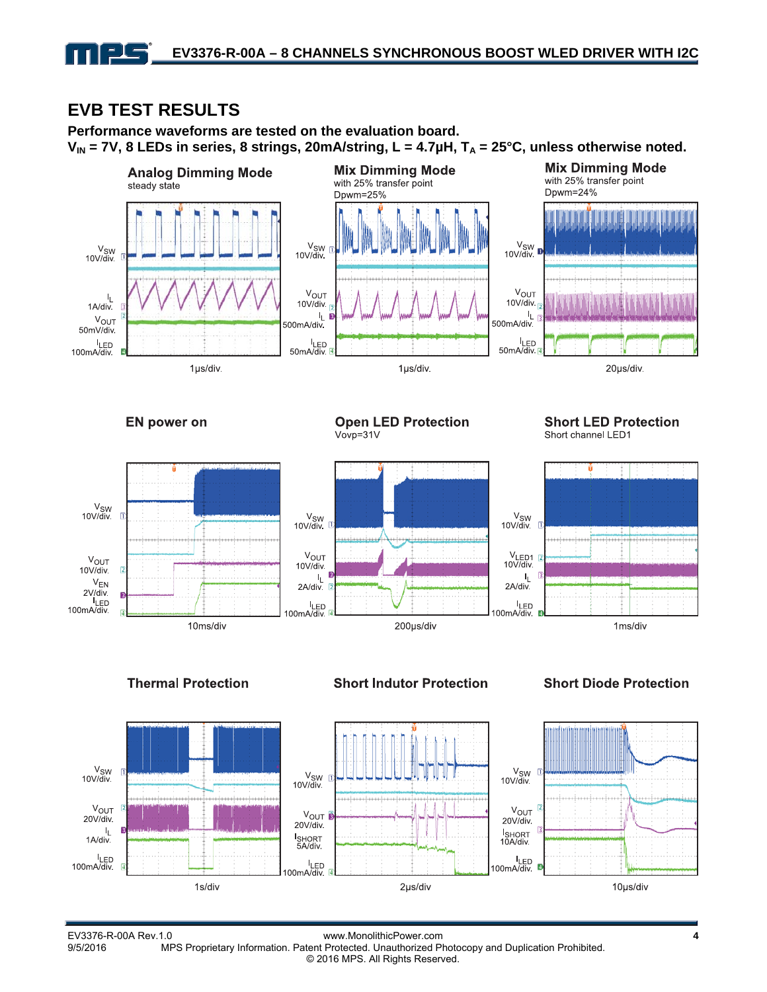# **EVB TEST RESULTS**

**Performance waveforms are tested on the evaluation board.**   $V_{IN}$  = 7V, 8 LEDs in series, 8 strings, 20mA/string, L = 4.7 $\mu$ H, T<sub>A</sub> = 25°C, unless otherwise noted.



**Open LED Protection** 

**EN power on** 

 $V_{SW}$ <br>10V/div

 $V_{OUT}$ 

 $V_{FN}$ 

 $2V/div$ zv/div<br>I<sub>LED</sub><br>100mA/div.

 $10V$ /div



### **Short LED Protection**

Short channel LED1



#### **Thermal Protection**



#### **Short Indutor Protection**



#### **Short Diode Protection**



EV3376-R-00A Rev.1.0 www.MonolithicPower.com **4** MPS Proprietary Information. Patent Protected. Unauthorized Photocopy and Duplication Prohibited. © 2016 MPS. All Rights Reserved.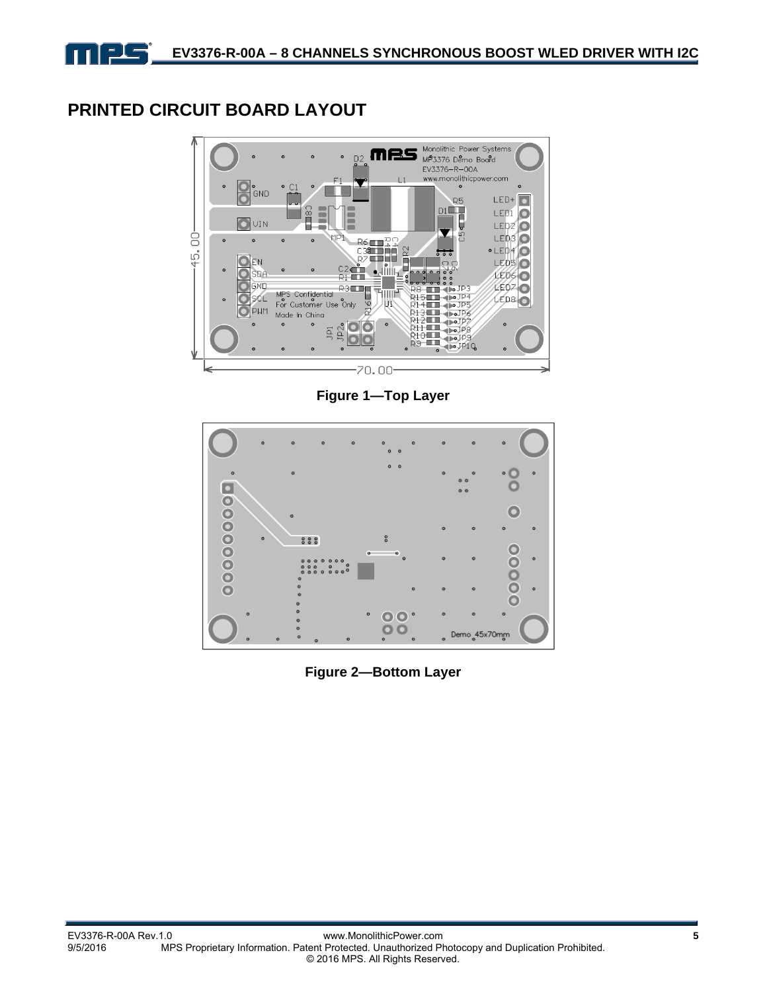# **PRINTED CIRCUIT BOARD LAYOUT**



**Figure 1—Top Layer** 



**Figure 2—Bottom Layer**